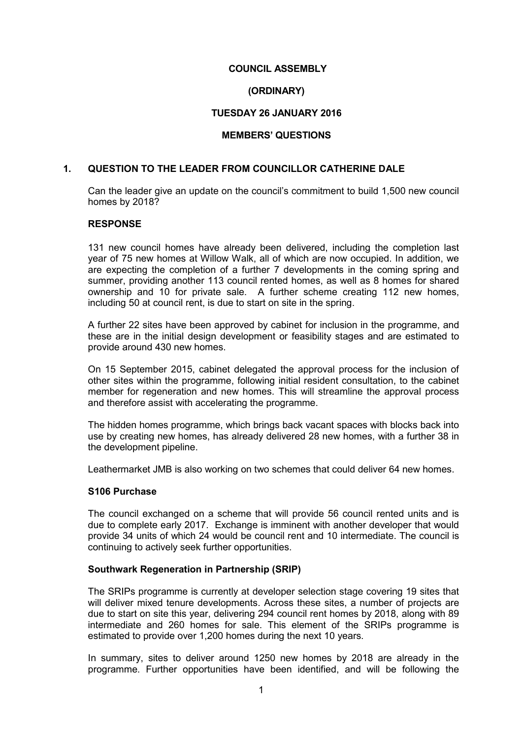# **COUNCIL ASSEMBLY**

## **(ORDINARY)**

# **TUESDAY 26 JANUARY 2016**

#### **MEMBERS' QUESTIONS**

#### **1. QUESTION TO THE LEADER FROM COUNCILLOR CATHERINE DALE**

Can the leader give an update on the council's commitment to build 1,500 new council homes by 2018?

### **RESPONSE**

131 new council homes have already been delivered, including the completion last year of 75 new homes at Willow Walk, all of which are now occupied. In addition, we are expecting the completion of a further 7 developments in the coming spring and summer, providing another 113 council rented homes, as well as 8 homes for shared ownership and 10 for private sale. A further scheme creating 112 new homes, including 50 at council rent, is due to start on site in the spring.

A further 22 sites have been approved by cabinet for inclusion in the programme, and these are in the initial design development or feasibility stages and are estimated to provide around 430 new homes.

On 15 September 2015, cabinet delegated the approval process for the inclusion of other sites within the programme, following initial resident consultation, to the cabinet member for regeneration and new homes. This will streamline the approval process and therefore assist with accelerating the programme.

The hidden homes programme, which brings back vacant spaces with blocks back into use by creating new homes, has already delivered 28 new homes, with a further 38 in the development pipeline.

Leathermarket JMB is also working on two schemes that could deliver 64 new homes.

#### **S106 Purchase**

The council exchanged on a scheme that will provide 56 council rented units and is due to complete early 2017. Exchange is imminent with another developer that would provide 34 units of which 24 would be council rent and 10 intermediate. The council is continuing to actively seek further opportunities.

#### **Southwark Regeneration in Partnership (SRIP)**

The SRIPs programme is currently at developer selection stage covering 19 sites that will deliver mixed tenure developments. Across these sites, a number of projects are due to start on site this year, delivering 294 council rent homes by 2018, along with 89 intermediate and 260 homes for sale. This element of the SRIPs programme is estimated to provide over 1,200 homes during the next 10 years.

In summary, sites to deliver around 1250 new homes by 2018 are already in the programme. Further opportunities have been identified, and will be following the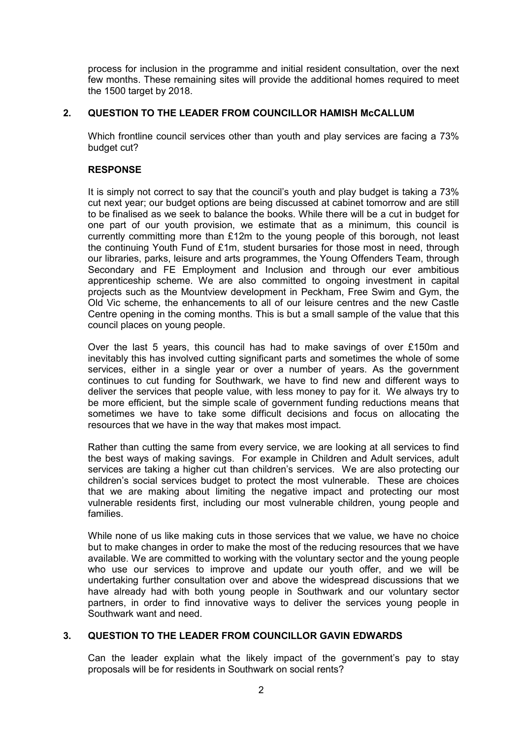process for inclusion in the programme and initial resident consultation, over the next few months. These remaining sites will provide the additional homes required to meet the 1500 target by 2018.

# **2. QUESTION TO THE LEADER FROM COUNCILLOR HAMISH McCALLUM**

Which frontline council services other than youth and play services are facing a 73% budget cut?

# **RESPONSE**

It is simply not correct to say that the council's youth and play budget is taking a 73% cut next year; our budget options are being discussed at cabinet tomorrow and are still to be finalised as we seek to balance the books. While there will be a cut in budget for one part of our youth provision, we estimate that as a minimum, this council is currently committing more than £12m to the young people of this borough, not least the continuing Youth Fund of £1m, student bursaries for those most in need, through our libraries, parks, leisure and arts programmes, the Young Offenders Team, through Secondary and FE Employment and Inclusion and through our ever ambitious apprenticeship scheme. We are also committed to ongoing investment in capital projects such as the Mountview development in Peckham, Free Swim and Gym, the Old Vic scheme, the enhancements to all of our leisure centres and the new Castle Centre opening in the coming months. This is but a small sample of the value that this council places on young people.

Over the last 5 years, this council has had to make savings of over £150m and inevitably this has involved cutting significant parts and sometimes the whole of some services, either in a single year or over a number of years. As the government continues to cut funding for Southwark, we have to find new and different ways to deliver the services that people value, with less money to pay for it. We always try to be more efficient, but the simple scale of government funding reductions means that sometimes we have to take some difficult decisions and focus on allocating the resources that we have in the way that makes most impact.

Rather than cutting the same from every service, we are looking at all services to find the best ways of making savings. For example in Children and Adult services, adult services are taking a higher cut than children's services. We are also protecting our children's social services budget to protect the most vulnerable. These are choices that we are making about limiting the negative impact and protecting our most vulnerable residents first, including our most vulnerable children, young people and families.

While none of us like making cuts in those services that we value, we have no choice but to make changes in order to make the most of the reducing resources that we have available. We are committed to working with the voluntary sector and the young people who use our services to improve and update our youth offer, and we will be undertaking further consultation over and above the widespread discussions that we have already had with both young people in Southwark and our voluntary sector partners, in order to find innovative ways to deliver the services young people in Southwark want and need.

# **3. QUESTION TO THE LEADER FROM COUNCILLOR GAVIN EDWARDS**

Can the leader explain what the likely impact of the government's pay to stay proposals will be for residents in Southwark on social rents?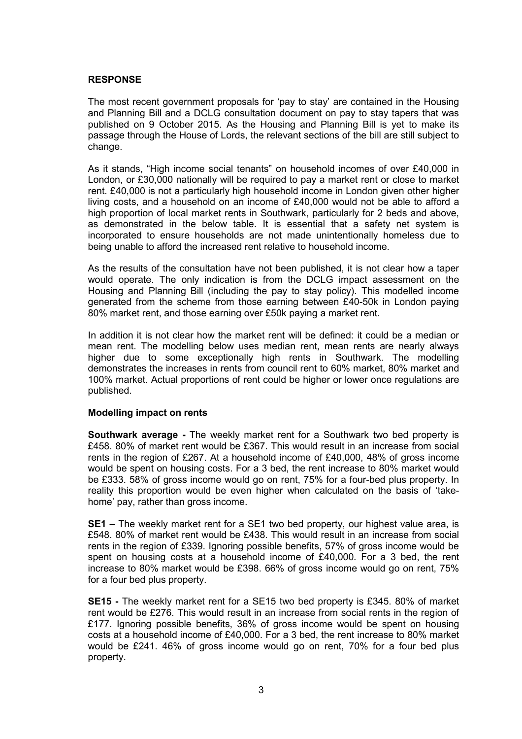The most recent government proposals for 'pay to stay' are contained in the Housing and Planning Bill and a DCLG consultation document on pay to stay tapers that was published on 9 October 2015. As the Housing and Planning Bill is yet to make its passage through the House of Lords, the relevant sections of the bill are still subject to change.

As it stands, "High income social tenants" on household incomes of over £40,000 in London, or £30,000 nationally will be required to pay a market rent or close to market rent. £40,000 is not a particularly high household income in London given other higher living costs, and a household on an income of £40,000 would not be able to afford a high proportion of local market rents in Southwark, particularly for 2 beds and above, as demonstrated in the below table. It is essential that a safety net system is incorporated to ensure households are not made unintentionally homeless due to being unable to afford the increased rent relative to household income.

As the results of the consultation have not been published, it is not clear how a taper would operate. The only indication is from the DCLG impact assessment on the Housing and Planning Bill (including the pay to stay policy). This modelled income generated from the scheme from those earning between £40-50k in London paying 80% market rent, and those earning over £50k paying a market rent.

In addition it is not clear how the market rent will be defined: it could be a median or mean rent. The modelling below uses median rent, mean rents are nearly always higher due to some exceptionally high rents in Southwark. The modelling demonstrates the increases in rents from council rent to 60% market, 80% market and 100% market. Actual proportions of rent could be higher or lower once regulations are published.

# **Modelling impact on rents**

**Southwark average -** The weekly market rent for a Southwark two bed property is £458. 80% of market rent would be £367. This would result in an increase from social rents in the region of £267. At a household income of £40,000, 48% of gross income would be spent on housing costs. For a 3 bed, the rent increase to 80% market would be £333. 58% of gross income would go on rent, 75% for a four-bed plus property. In reality this proportion would be even higher when calculated on the basis of 'takehome' pay, rather than gross income.

**SE1 –** The weekly market rent for a SE1 two bed property, our highest value area, is £548. 80% of market rent would be £438. This would result in an increase from social rents in the region of £339. Ignoring possible benefits, 57% of gross income would be spent on housing costs at a household income of £40,000. For a 3 bed, the rent increase to 80% market would be £398. 66% of gross income would go on rent, 75% for a four bed plus property.

**SE15 -** The weekly market rent for a SE15 two bed property is £345. 80% of market rent would be £276. This would result in an increase from social rents in the region of £177. Ignoring possible benefits, 36% of gross income would be spent on housing costs at a household income of £40,000. For a 3 bed, the rent increase to 80% market would be £241. 46% of gross income would go on rent, 70% for a four bed plus property.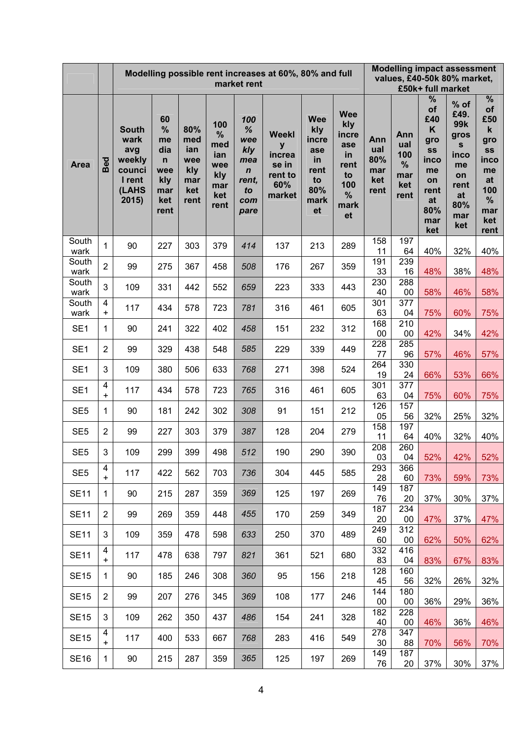|                       |                                | Modelling possible rent increases at 60%, 80% and full<br>market rent       |                                                                          |                                                       |                                                            |                                                                                    |                                                                  |                                                                            |                                                                                 | <b>Modelling impact assessment</b><br>values, £40-50k 80% market,<br>£50k+ full market |                                              |                                                                                         |                                                                                                 |                                                                                                  |  |
|-----------------------|--------------------------------|-----------------------------------------------------------------------------|--------------------------------------------------------------------------|-------------------------------------------------------|------------------------------------------------------------|------------------------------------------------------------------------------------|------------------------------------------------------------------|----------------------------------------------------------------------------|---------------------------------------------------------------------------------|----------------------------------------------------------------------------------------|----------------------------------------------|-----------------------------------------------------------------------------------------|-------------------------------------------------------------------------------------------------|--------------------------------------------------------------------------------------------------|--|
| <b>Area</b>           | $\overline{e}$<br>$\mathbf{m}$ | <b>South</b><br>wark<br>avg<br>weekly<br>counci<br>I rent<br>(LAHS<br>2015) | 60<br>%<br>me<br>dia<br>$\mathsf{n}$<br>wee<br>kly<br>mar<br>ket<br>rent | 80%<br>med<br>ian<br>wee<br>kly<br>mar<br>ket<br>rent | 100<br>%<br>med<br>ian<br>wee<br>kly<br>mar<br>ket<br>rent | 100<br>$\%$<br>wee<br>kly<br>mea<br>$\boldsymbol{n}$<br>rent,<br>to<br>com<br>pare | <b>Weekl</b><br>y<br>increa<br>se in<br>rent to<br>60%<br>market | <b>Wee</b><br>kly<br>incre<br>ase<br>in<br>rent<br>to<br>80%<br>mark<br>et | <b>Wee</b><br>kly<br>incre<br>ase<br>in<br>rent<br>to<br>100<br>%<br>mark<br>et | Ann<br>ual<br>80%<br>mar<br>ket<br>rent                                                | Ann<br>ual<br>100<br>%<br>mar<br>ket<br>rent | %<br>of<br>£40<br>K<br>gro<br>SS<br>inco<br>me<br>on<br>rent<br>at<br>80%<br>mar<br>ket | % of<br>£49.<br>99k<br>gros<br>${\bf s}$<br>inco<br>me<br>on<br>rent<br>at<br>80%<br>mar<br>ket | %<br>of<br>£50<br>$\mathbf k$<br>gro<br>SS<br>inco<br>me<br>at<br>100<br>%<br>mar<br>ket<br>rent |  |
| South<br>wark         | 1                              | 90                                                                          | 227                                                                      | 303                                                   | 379                                                        | 414                                                                                | 137                                                              | 213                                                                        | 289                                                                             | 158<br>11                                                                              | 197<br>64                                    | 40%                                                                                     | 32%                                                                                             | 40%                                                                                              |  |
| South                 | $\overline{2}$                 | 99                                                                          | 275                                                                      | 367                                                   | 458                                                        | 508                                                                                | 176                                                              | 267                                                                        | 359                                                                             | 191                                                                                    | 239                                          |                                                                                         |                                                                                                 |                                                                                                  |  |
| wark<br>South<br>wark | 3                              | 109                                                                         | 331                                                                      | 442                                                   | 552                                                        | 659                                                                                | 223                                                              | 333                                                                        | 443                                                                             | 33<br>230<br>40                                                                        | 16<br>288<br>00                              | 48%<br>58%                                                                              | 38%<br>46%                                                                                      | 48%<br>58%                                                                                       |  |
| South<br>wark         | 4<br>$\ddot{}$                 | 117                                                                         | 434                                                                      | 578                                                   | 723                                                        | 781                                                                                | 316                                                              | 461                                                                        | 605                                                                             | 301<br>63                                                                              | 377<br>04                                    | 75%                                                                                     | 60%                                                                                             | 75%                                                                                              |  |
| SE <sub>1</sub>       | 1                              | 90                                                                          | 241                                                                      | 322                                                   | 402                                                        | 458                                                                                | 151                                                              | 232                                                                        | 312                                                                             | 168<br>00                                                                              | 210<br>00                                    | 42%                                                                                     | 34%                                                                                             | 42%                                                                                              |  |
| SE <sub>1</sub>       | $\overline{2}$                 | 99                                                                          | 329                                                                      | 438                                                   | 548                                                        | 585                                                                                | 229                                                              | 339                                                                        | 449                                                                             | 228<br>77                                                                              | 285<br>96                                    | 57%                                                                                     | 46%                                                                                             | 57%                                                                                              |  |
| SE <sub>1</sub>       | 3                              | 109                                                                         | 380                                                                      | 506                                                   | 633                                                        | 768                                                                                | 271                                                              | 398                                                                        | 524                                                                             | 264<br>19                                                                              | 330<br>24                                    | 66%                                                                                     | 53%                                                                                             | 66%                                                                                              |  |
| SE <sub>1</sub>       | 4<br>$+$                       | 117                                                                         | 434                                                                      | 578                                                   | 723                                                        | 765                                                                                | 316                                                              | 461                                                                        | 605                                                                             | 301<br>63                                                                              | 377<br>04                                    | 75%                                                                                     | 60%                                                                                             | 75%                                                                                              |  |
| SE <sub>5</sub>       | 1                              | 90                                                                          | 181                                                                      | 242                                                   | 302                                                        | 308                                                                                | 91                                                               | 151                                                                        | 212                                                                             | 126<br>05                                                                              | 157<br>56                                    | 32%                                                                                     | 25%                                                                                             | 32%                                                                                              |  |
| SE <sub>5</sub>       | $\overline{2}$                 | 99                                                                          | 227                                                                      | 303                                                   | 379                                                        | 387                                                                                | 128                                                              | 204                                                                        | 279                                                                             | 158<br>11                                                                              | 197<br>64                                    | 40%                                                                                     | 32%                                                                                             | 40%                                                                                              |  |
| SE <sub>5</sub>       | 3                              | 109                                                                         | 299                                                                      | 399                                                   | 498                                                        | 512                                                                                | 190                                                              | 290                                                                        | 390                                                                             | 208<br>03                                                                              | 260<br>04                                    | 52%                                                                                     | 42%                                                                                             | 52%                                                                                              |  |
| SE <sub>5</sub>       | 4<br>$\ddot{}$                 | 117                                                                         | 422                                                                      | 562                                                   | 703                                                        | 736                                                                                | 304                                                              | 445                                                                        | 585                                                                             | 293<br>28                                                                              | 366<br>60                                    | 73%                                                                                     | 59%                                                                                             | 73%                                                                                              |  |
| <b>SE11</b>           | 1                              | 90                                                                          | 215                                                                      | 287                                                   | 359                                                        | 369                                                                                | 125                                                              | 197                                                                        | 269                                                                             | 149<br>76                                                                              | 187<br>20                                    | 37%                                                                                     | 30%                                                                                             | 37%                                                                                              |  |
| <b>SE11</b>           | $\overline{2}$                 | 99                                                                          | 269                                                                      | 359                                                   | 448                                                        | 455                                                                                | 170                                                              | 259                                                                        | 349                                                                             | 187<br>20                                                                              | 234<br>00                                    | 47%                                                                                     | 37%                                                                                             | 47%                                                                                              |  |
| <b>SE11</b>           | 3                              | 109                                                                         | 359                                                                      | 478                                                   | 598                                                        | 633                                                                                | 250                                                              | 370                                                                        | 489                                                                             | 249<br>60                                                                              | 312<br>00                                    | 62%                                                                                     | 50%                                                                                             | 62%                                                                                              |  |
| <b>SE11</b>           | 4<br>$\ddot{}$                 | 117                                                                         | 478                                                                      | 638                                                   | 797                                                        | 821                                                                                | 361                                                              | 521                                                                        | 680                                                                             | 332<br>83                                                                              | 416<br>04                                    | 83%                                                                                     | 67%                                                                                             | 83%                                                                                              |  |
| <b>SE15</b>           | 1                              | 90                                                                          | 185                                                                      | 246                                                   | 308                                                        | 360                                                                                | 95                                                               | 156                                                                        | 218                                                                             | 128<br>45                                                                              | 160<br>56                                    | 32%                                                                                     | 26%                                                                                             | 32%                                                                                              |  |
| <b>SE15</b>           | $\overline{2}$                 | 99                                                                          | 207                                                                      | 276                                                   | 345                                                        | 369                                                                                | 108                                                              | 177                                                                        | 246                                                                             | 144<br>$00\,$                                                                          | 180<br>00                                    | 36%                                                                                     | 29%                                                                                             | 36%                                                                                              |  |
| <b>SE15</b>           | 3                              | 109                                                                         | 262                                                                      | 350                                                   | 437                                                        | 486                                                                                | 154                                                              | 241                                                                        | 328                                                                             | 182<br>40                                                                              | 228<br>00                                    | 46%                                                                                     | 36%                                                                                             | 46%                                                                                              |  |
| <b>SE15</b>           | 4<br>$\ddot{}$                 | 117                                                                         | 400                                                                      | 533                                                   | 667                                                        | 768                                                                                | 283                                                              | 416                                                                        | 549                                                                             | 278<br>30                                                                              | 347<br>88                                    | 70%                                                                                     | 56%                                                                                             | 70%                                                                                              |  |
| <b>SE16</b>           | 1                              | 90                                                                          | 215                                                                      | 287                                                   | 359                                                        | 365                                                                                | 125                                                              | 197                                                                        | 269                                                                             | 149<br>76                                                                              | 187<br>20                                    | 37%                                                                                     | 30%                                                                                             | 37%                                                                                              |  |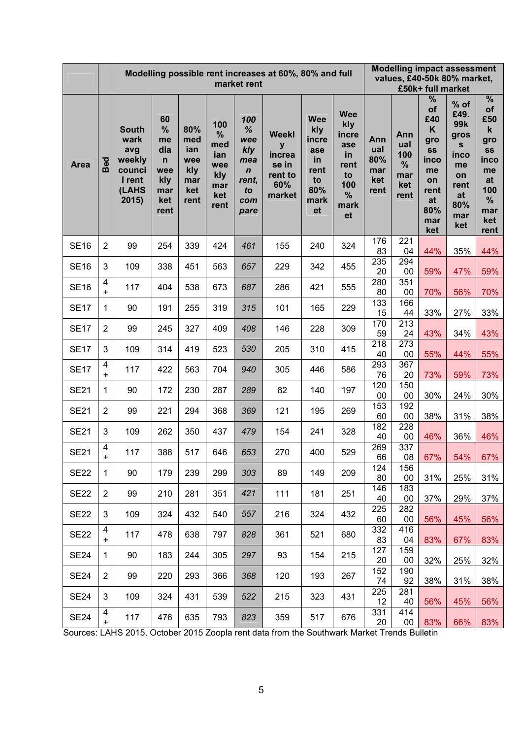|             |                | Modelling possible rent increases at 60%, 80% and full<br>market rent       |                                                                             |                                                       |                                                            |                                                                                    |                                                                  |                                                                            |                                                                                  |                                         | <b>Modelling impact assessment</b><br>values, £40-50k 80% market,<br>£50k+ full market |                                                                                         |                                                                                                             |                                                                                                     |  |  |
|-------------|----------------|-----------------------------------------------------------------------------|-----------------------------------------------------------------------------|-------------------------------------------------------|------------------------------------------------------------|------------------------------------------------------------------------------------|------------------------------------------------------------------|----------------------------------------------------------------------------|----------------------------------------------------------------------------------|-----------------------------------------|----------------------------------------------------------------------------------------|-----------------------------------------------------------------------------------------|-------------------------------------------------------------------------------------------------------------|-----------------------------------------------------------------------------------------------------|--|--|
| <b>Area</b> | <b>g</b><br>മ  | <b>South</b><br>wark<br>avg<br>weekly<br>counci<br>I rent<br>(LAHS<br>2015) | 60<br>$\%$<br>me<br>dia<br>$\mathsf{n}$<br>wee<br>kly<br>mar<br>ket<br>rent | 80%<br>med<br>ian<br>wee<br>kly<br>mar<br>ket<br>rent | 100<br>%<br>med<br>ian<br>wee<br>kly<br>mar<br>ket<br>rent | 100<br>$\%$<br>wee<br>kly<br>mea<br>$\boldsymbol{n}$<br>rent,<br>to<br>com<br>pare | <b>Weekl</b><br>y<br>increa<br>se in<br>rent to<br>60%<br>market | <b>Wee</b><br>kly<br>incre<br>ase<br>in<br>rent<br>to<br>80%<br>mark<br>et | <b>Wee</b><br>kly<br>incre<br>ase<br>in.<br>rent<br>to<br>100<br>%<br>mark<br>et | Ann<br>ual<br>80%<br>mar<br>ket<br>rent | Ann<br>ual<br>100<br>%<br>mar<br>ket<br>rent                                           | %<br>of<br>£40<br>K<br>gro<br>SS<br>inco<br>me<br>on<br>rent<br>at<br>80%<br>mar<br>ket | % of<br>£49.<br>99 <sub>k</sub><br>gros<br>${\bf s}$<br>inco<br>me<br>on<br>rent<br>at<br>80%<br>mar<br>ket | $\%$<br>of<br>£50<br>$\mathbf k$<br>gro<br>SS<br>inco<br>me<br>at<br>100<br>%<br>mar<br>ket<br>rent |  |  |
| <b>SE16</b> | $\overline{2}$ | 99                                                                          | 254                                                                         | 339                                                   | 424                                                        | 461                                                                                | 155                                                              | 240                                                                        | 324                                                                              | 176<br>83                               | 221<br>04                                                                              | 44%                                                                                     | 35%                                                                                                         | 44%                                                                                                 |  |  |
| <b>SE16</b> | 3              | 109                                                                         | 338                                                                         | 451                                                   | 563                                                        | 657                                                                                | 229                                                              | 342                                                                        | 455                                                                              | 235<br>20                               | 294<br>00                                                                              | 59%                                                                                     | 47%                                                                                                         | 59%                                                                                                 |  |  |
| <b>SE16</b> | 4<br>$+$       | 117                                                                         | 404                                                                         | 538                                                   | 673                                                        | 687                                                                                | 286                                                              | 421                                                                        | 555                                                                              | 280<br>80                               | 351<br>00                                                                              |                                                                                         | 56%                                                                                                         | 70%                                                                                                 |  |  |
| <b>SE17</b> | 1              | 90                                                                          | 191                                                                         | 255                                                   | 319                                                        | 315                                                                                | 101                                                              | 165                                                                        | 229                                                                              | 133                                     | 166                                                                                    | 70%                                                                                     |                                                                                                             |                                                                                                     |  |  |
| <b>SE17</b> | $\overline{2}$ | 99                                                                          | 245                                                                         | 327                                                   | 409                                                        | 408                                                                                | 146                                                              | 228                                                                        | 309                                                                              | 15<br>170                               | 44<br>213                                                                              | 33%                                                                                     | 27%                                                                                                         | 33%                                                                                                 |  |  |
|             |                |                                                                             |                                                                             |                                                       |                                                            |                                                                                    |                                                                  |                                                                            |                                                                                  | 59<br>218                               | 24<br>273                                                                              | 43%                                                                                     | 34%                                                                                                         | 43%                                                                                                 |  |  |
| <b>SE17</b> | 3              | 109                                                                         | 314                                                                         | 419                                                   | 523                                                        | 530                                                                                | 205                                                              | 310                                                                        | 415                                                                              | 40                                      | 00                                                                                     | 55%                                                                                     | 44%                                                                                                         | 55%                                                                                                 |  |  |
| <b>SE17</b> | 4<br>+         | 117                                                                         | 422                                                                         | 563                                                   | 704                                                        | 940                                                                                | 305                                                              | 446                                                                        | 586                                                                              | 293<br>76                               | 367<br>20                                                                              | 73%                                                                                     | 59%                                                                                                         | 73%                                                                                                 |  |  |
| <b>SE21</b> | 1              | 90                                                                          | 172                                                                         | 230                                                   | 287                                                        | 289                                                                                | 82                                                               | 140                                                                        | 197                                                                              | 120<br>$00\,$                           | 150<br>00                                                                              | 30%                                                                                     | 24%                                                                                                         | 30%                                                                                                 |  |  |
| <b>SE21</b> | $\overline{2}$ | 99                                                                          | 221                                                                         | 294                                                   | 368                                                        | 369                                                                                | 121                                                              | 195                                                                        | 269                                                                              | 153<br>60                               | 192<br>00                                                                              | 38%                                                                                     | 31%                                                                                                         | 38%                                                                                                 |  |  |
| <b>SE21</b> | 3              | 109                                                                         | 262                                                                         | 350                                                   | 437                                                        | 479                                                                                | 154                                                              | 241                                                                        | 328                                                                              | 182                                     | 228                                                                                    |                                                                                         |                                                                                                             |                                                                                                     |  |  |
|             | 4              |                                                                             | 388                                                                         | 517                                                   | 646                                                        | 653                                                                                | 270                                                              | 400                                                                        | 529                                                                              | 40<br>269                               | $00\,$<br>337                                                                          | 46%                                                                                     | 36%                                                                                                         | 46%                                                                                                 |  |  |
| <b>SE21</b> | ÷              | 117                                                                         |                                                                             |                                                       |                                                            |                                                                                    |                                                                  |                                                                            |                                                                                  | 66<br>124                               | 08<br>156                                                                              | 67%                                                                                     | 54%                                                                                                         | 67%                                                                                                 |  |  |
| <b>SE22</b> | $\mathbf{1}$   | 90                                                                          | 179                                                                         | 239                                                   | 299                                                        | 303                                                                                | 89                                                               | 149                                                                        | 209                                                                              | 80                                      | 00                                                                                     | 31%                                                                                     | 25%                                                                                                         | 31%                                                                                                 |  |  |
| <b>SE22</b> | $\overline{2}$ | 99                                                                          | 210                                                                         | 281                                                   | 351                                                        | 421                                                                                | 111                                                              | 181                                                                        | 251                                                                              | 146<br>40                               | 183<br>00                                                                              | 37%                                                                                     | 29%                                                                                                         | 37%                                                                                                 |  |  |
| <b>SE22</b> | 3              | 109                                                                         | 324                                                                         | 432                                                   | 540                                                        | 557                                                                                | 216                                                              | 324                                                                        | 432                                                                              | 225<br>60                               | 282<br>00                                                                              | 56%                                                                                     | 45%                                                                                                         | 56%                                                                                                 |  |  |
| <b>SE22</b> | 4              | 117                                                                         | 478                                                                         | 638                                                   | 797                                                        | 828                                                                                | 361                                                              | 521                                                                        | 680                                                                              | 332                                     | 416                                                                                    |                                                                                         |                                                                                                             |                                                                                                     |  |  |
| <b>SE24</b> | $\ddot{}$<br>1 | 90                                                                          | 183                                                                         | 244                                                   | 305                                                        | 297                                                                                | 93                                                               | 154                                                                        | 215                                                                              | 83<br>127                               | 04<br>159                                                                              | 83%                                                                                     | 67%                                                                                                         | 83%                                                                                                 |  |  |
|             |                |                                                                             |                                                                             |                                                       |                                                            |                                                                                    |                                                                  |                                                                            |                                                                                  | 20<br>152                               | 00<br>190                                                                              | 32%                                                                                     | 25%                                                                                                         | 32%                                                                                                 |  |  |
| <b>SE24</b> | $\overline{2}$ | 99                                                                          | 220                                                                         | 293                                                   | 366                                                        | 368                                                                                | 120                                                              | 193                                                                        | 267                                                                              | 74                                      | 92                                                                                     | 38%                                                                                     | 31%                                                                                                         | 38%                                                                                                 |  |  |
| <b>SE24</b> | 3              | 109                                                                         | 324                                                                         | 431                                                   | 539                                                        | 522                                                                                | 215                                                              | 323                                                                        | 431                                                                              | 225<br>12                               | 281<br>40                                                                              | 56%                                                                                     | 45%                                                                                                         | 56%                                                                                                 |  |  |
| <b>SE24</b> | $\frac{4}{+}$  | 117                                                                         | 476                                                                         | 635                                                   | 793                                                        | 823                                                                                | 359                                                              | 517                                                                        | 676                                                                              | 331<br>20                               | 414<br>00                                                                              | 83%                                                                                     | 66%                                                                                                         | 83%                                                                                                 |  |  |

Sources: LAHS 2015, October 2015 Zoopla rent data from the Southwark Market Trends Bulletin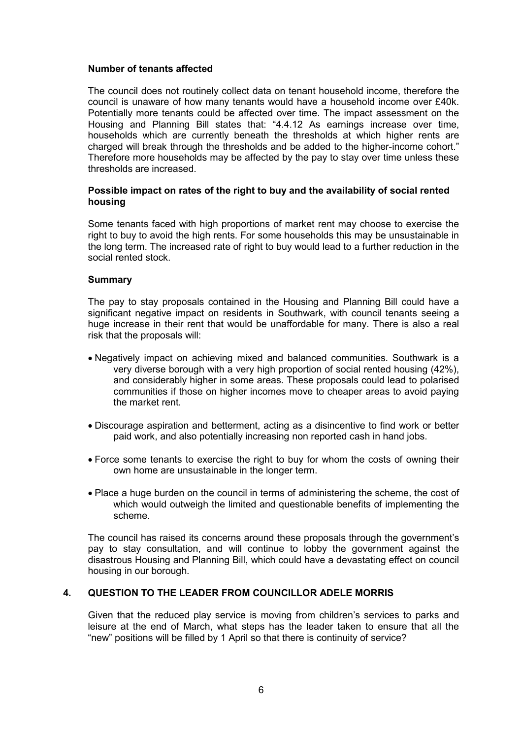## **Number of tenants affected**

The council does not routinely collect data on tenant household income, therefore the council is unaware of how many tenants would have a household income over £40k. Potentially more tenants could be affected over time. The impact assessment on the Housing and Planning Bill states that: "4.4.12 As earnings increase over time, households which are currently beneath the thresholds at which higher rents are charged will break through the thresholds and be added to the higher-income cohort." Therefore more households may be affected by the pay to stay over time unless these thresholds are increased.

# **Possible impact on rates of the right to buy and the availability of social rented housing**

Some tenants faced with high proportions of market rent may choose to exercise the right to buy to avoid the high rents. For some households this may be unsustainable in the long term. The increased rate of right to buy would lead to a further reduction in the social rented stock.

### **Summary**

The pay to stay proposals contained in the Housing and Planning Bill could have a significant negative impact on residents in Southwark, with council tenants seeing a huge increase in their rent that would be unaffordable for many. There is also a real risk that the proposals will:

- Negatively impact on achieving mixed and balanced communities. Southwark is a very diverse borough with a very high proportion of social rented housing (42%), and considerably higher in some areas. These proposals could lead to polarised communities if those on higher incomes move to cheaper areas to avoid paying the market rent.
- Discourage aspiration and betterment, acting as a disincentive to find work or better paid work, and also potentially increasing non reported cash in hand jobs.
- Force some tenants to exercise the right to buy for whom the costs of owning their own home are unsustainable in the longer term.
- Place a huge burden on the council in terms of administering the scheme, the cost of which would outweigh the limited and questionable benefits of implementing the scheme.

The council has raised its concerns around these proposals through the government's pay to stay consultation, and will continue to lobby the government against the disastrous Housing and Planning Bill, which could have a devastating effect on council housing in our borough.

#### **4. QUESTION TO THE LEADER FROM COUNCILLOR ADELE MORRIS**

Given that the reduced play service is moving from children's services to parks and leisure at the end of March, what steps has the leader taken to ensure that all the "new" positions will be filled by 1 April so that there is continuity of service?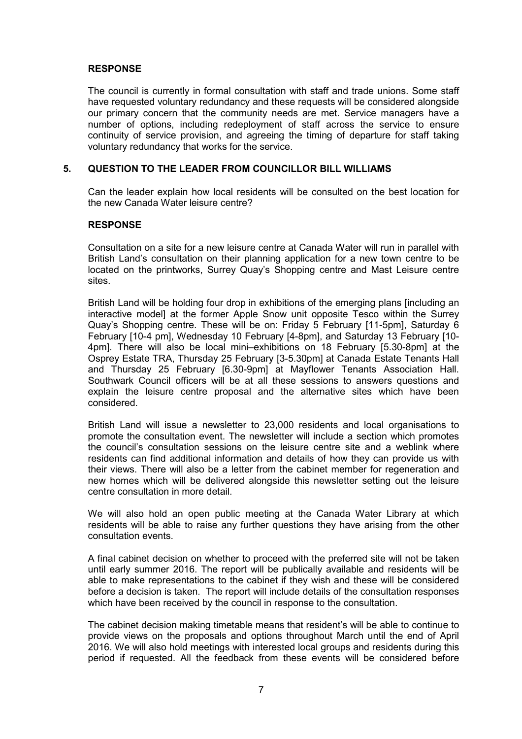The council is currently in formal consultation with staff and trade unions. Some staff have requested voluntary redundancy and these requests will be considered alongside our primary concern that the community needs are met. Service managers have a number of options, including redeployment of staff across the service to ensure continuity of service provision, and agreeing the timing of departure for staff taking voluntary redundancy that works for the service.

# **5. QUESTION TO THE LEADER FROM COUNCILLOR BILL WILLIAMS**

Can the leader explain how local residents will be consulted on the best location for the new Canada Water leisure centre?

#### **RESPONSE**

Consultation on a site for a new leisure centre at Canada Water will run in parallel with British Land's consultation on their planning application for a new town centre to be located on the printworks, Surrey Quay's Shopping centre and Mast Leisure centre sites.

British Land will be holding four drop in exhibitions of the emerging plans [including an interactive model] at the former Apple Snow unit opposite Tesco within the Surrey Quay's Shopping centre. These will be on: Friday 5 February [11-5pm], Saturday 6 February [10-4 pm], Wednesday 10 February [4-8pm], and Saturday 13 February [10- 4pm]. There will also be local mini–exhibitions on 18 February [5.30-8pm] at the Osprey Estate TRA, Thursday 25 February [3-5.30pm] at Canada Estate Tenants Hall and Thursday 25 February [6.30-9pm] at Mayflower Tenants Association Hall. Southwark Council officers will be at all these sessions to answers questions and explain the leisure centre proposal and the alternative sites which have been considered.

British Land will issue a newsletter to 23,000 residents and local organisations to promote the consultation event. The newsletter will include a section which promotes the council's consultation sessions on the leisure centre site and a weblink where residents can find additional information and details of how they can provide us with their views. There will also be a letter from the cabinet member for regeneration and new homes which will be delivered alongside this newsletter setting out the leisure centre consultation in more detail.

We will also hold an open public meeting at the Canada Water Library at which residents will be able to raise any further questions they have arising from the other consultation events.

A final cabinet decision on whether to proceed with the preferred site will not be taken until early summer 2016. The report will be publically available and residents will be able to make representations to the cabinet if they wish and these will be considered before a decision is taken. The report will include details of the consultation responses which have been received by the council in response to the consultation.

The cabinet decision making timetable means that resident's will be able to continue to provide views on the proposals and options throughout March until the end of April 2016. We will also hold meetings with interested local groups and residents during this period if requested. All the feedback from these events will be considered before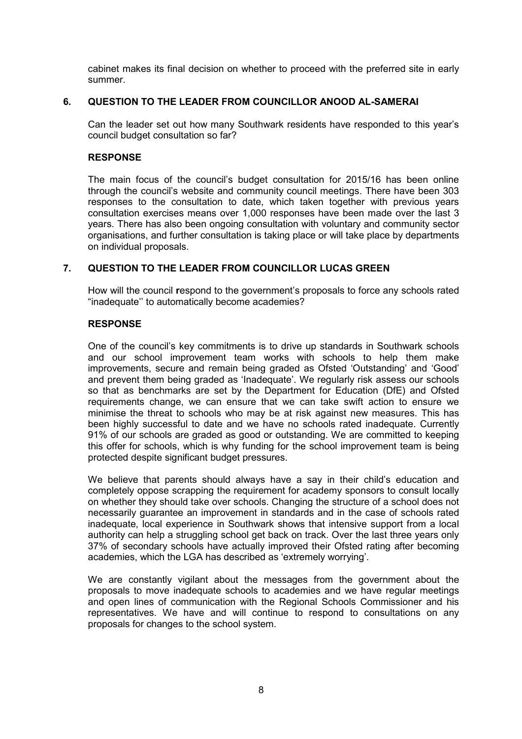cabinet makes its final decision on whether to proceed with the preferred site in early summer.

# **6. QUESTION TO THE LEADER FROM COUNCILLOR ANOOD AL-SAMERAI**

Can the leader set out how many Southwark residents have responded to this year's council budget consultation so far?

#### **RESPONSE**

The main focus of the council's budget consultation for 2015/16 has been online through the council's website and community council meetings. There have been 303 responses to the consultation to date, which taken together with previous years consultation exercises means over 1,000 responses have been made over the last 3 years. There has also been ongoing consultation with voluntary and community sector organisations, and further consultation is taking place or will take place by departments on individual proposals.

# **7. QUESTION TO THE LEADER FROM COUNCILLOR LUCAS GREEN**

How will the council **r**espond to the government's proposals to force any schools rated "inadequate'' to automatically become academies?

#### **RESPONSE**

One of the council's key commitments is to drive up standards in Southwark schools and our school improvement team works with schools to help them make improvements, secure and remain being graded as Ofsted 'Outstanding' and 'Good' and prevent them being graded as 'Inadequate'. We regularly risk assess our schools so that as benchmarks are set by the Department for Education (DfE) and Ofsted requirements change, we can ensure that we can take swift action to ensure we minimise the threat to schools who may be at risk against new measures. This has been highly successful to date and we have no schools rated inadequate. Currently 91% of our schools are graded as good or outstanding. We are committed to keeping this offer for schools, which is why funding for the school improvement team is being protected despite significant budget pressures.

We believe that parents should always have a say in their child's education and completely oppose scrapping the requirement for academy sponsors to consult locally on whether they should take over schools. Changing the structure of a school does not necessarily guarantee an improvement in standards and in the case of schools rated inadequate, local experience in Southwark shows that intensive support from a local authority can help a struggling school get back on track. Over the last three years only 37% of secondary schools have actually improved their Ofsted rating after becoming academies, which the LGA has described as 'extremely worrying'.

We are constantly vigilant about the messages from the government about the proposals to move inadequate schools to academies and we have regular meetings and open lines of communication with the Regional Schools Commissioner and his representatives. We have and will continue to respond to consultations on any proposals for changes to the school system.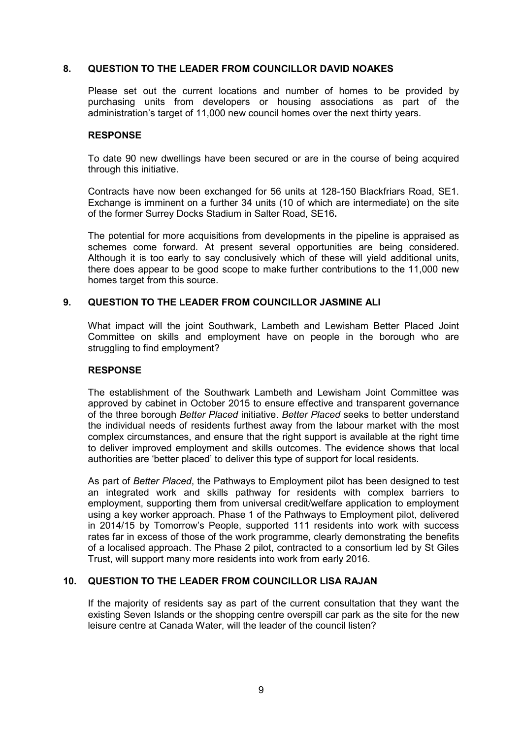# **8. QUESTION TO THE LEADER FROM COUNCILLOR DAVID NOAKES**

Please set out the current locations and number of homes to be provided by purchasing units from developers or housing associations as part of the administration's target of 11,000 new council homes over the next thirty years.

# **RESPONSE**

To date 90 new dwellings have been secured or are in the course of being acquired through this initiative.

Contracts have now been exchanged for 56 units at 128-150 Blackfriars Road, SE1. Exchange is imminent on a further 34 units (10 of which are intermediate) on the site of the former Surrey Docks Stadium in Salter Road, SE16**.** 

The potential for more acquisitions from developments in the pipeline is appraised as schemes come forward. At present several opportunities are being considered. Although it is too early to say conclusively which of these will yield additional units, there does appear to be good scope to make further contributions to the 11,000 new homes target from this source.

# **9. QUESTION TO THE LEADER FROM COUNCILLOR JASMINE ALI**

What impact will the joint Southwark, Lambeth and Lewisham Better Placed Joint Committee on skills and employment have on people in the borough who are struggling to find employment?

#### **RESPONSE**

The establishment of the Southwark Lambeth and Lewisham Joint Committee was approved by cabinet in October 2015 to ensure effective and transparent governance of the three borough *Better Placed* initiative. *Better Placed* seeks to better understand the individual needs of residents furthest away from the labour market with the most complex circumstances, and ensure that the right support is available at the right time to deliver improved employment and skills outcomes. The evidence shows that local authorities are 'better placed' to deliver this type of support for local residents.

As part of *Better Placed*, the Pathways to Employment pilot has been designed to test an integrated work and skills pathway for residents with complex barriers to employment, supporting them from universal credit/welfare application to employment using a key worker approach. Phase 1 of the Pathways to Employment pilot, delivered in 2014/15 by Tomorrow's People, supported 111 residents into work with success rates far in excess of those of the work programme, clearly demonstrating the benefits of a localised approach. The Phase 2 pilot, contracted to a consortium led by St Giles Trust, will support many more residents into work from early 2016.

# **10. QUESTION TO THE LEADER FROM COUNCILLOR LISA RAJAN**

If the majority of residents say as part of the current consultation that they want the existing Seven Islands or the shopping centre overspill car park as the site for the new leisure centre at Canada Water, will the leader of the council listen?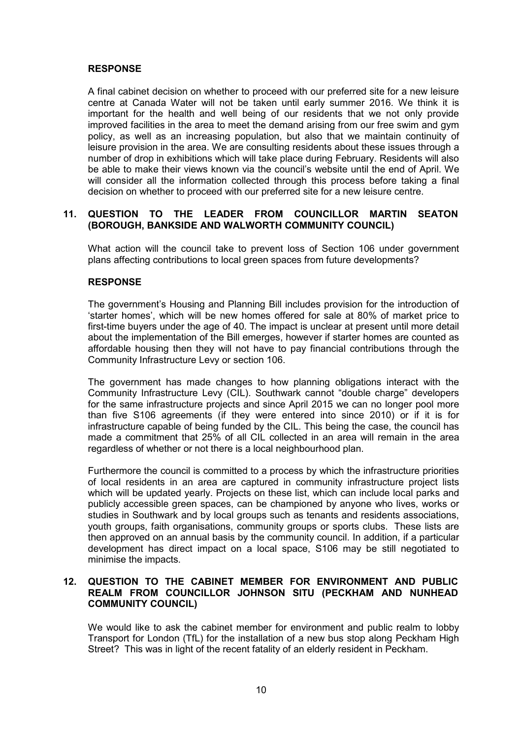A final cabinet decision on whether to proceed with our preferred site for a new leisure centre at Canada Water will not be taken until early summer 2016. We think it is important for the health and well being of our residents that we not only provide improved facilities in the area to meet the demand arising from our free swim and gym policy, as well as an increasing population, but also that we maintain continuity of leisure provision in the area. We are consulting residents about these issues through a number of drop in exhibitions which will take place during February. Residents will also be able to make their views known via the council's website until the end of April. We will consider all the information collected through this process before taking a final decision on whether to proceed with our preferred site for a new leisure centre.

# **11. QUESTION TO THE LEADER FROM COUNCILLOR MARTIN SEATON (BOROUGH, BANKSIDE AND WALWORTH COMMUNITY COUNCIL)**

What action will the council take to prevent loss of Section 106 under government plans affecting contributions to local green spaces from future developments?

### **RESPONSE**

The government's Housing and Planning Bill includes provision for the introduction of 'starter homes', which will be new homes offered for sale at 80% of market price to first-time buyers under the age of 40. The impact is unclear at present until more detail about the implementation of the Bill emerges, however if starter homes are counted as affordable housing then they will not have to pay financial contributions through the Community Infrastructure Levy or section 106.

The government has made changes to how planning obligations interact with the Community Infrastructure Levy (CIL). Southwark cannot "double charge" developers for the same infrastructure projects and since April 2015 we can no longer pool more than five S106 agreements (if they were entered into since 2010) or if it is for infrastructure capable of being funded by the CIL. This being the case, the council has made a commitment that 25% of all CIL collected in an area will remain in the area regardless of whether or not there is a local neighbourhood plan.

Furthermore the council is committed to a process by which the infrastructure priorities of local residents in an area are captured in community infrastructure project lists which will be updated yearly. Projects on these list, which can include local parks and publicly accessible green spaces, can be championed by anyone who lives, works or studies in Southwark and by local groups such as tenants and residents associations, youth groups, faith organisations, community groups or sports clubs. These lists are then approved on an annual basis by the community council. In addition, if a particular development has direct impact on a local space, S106 may be still negotiated to minimise the impacts.

# **12. QUESTION TO THE CABINET MEMBER FOR ENVIRONMENT AND PUBLIC REALM FROM COUNCILLOR JOHNSON SITU (PECKHAM AND NUNHEAD COMMUNITY COUNCIL)**

We would like to ask the cabinet member for environment and public realm to lobby Transport for London (TfL) for the installation of a new bus stop along Peckham High Street? This was in light of the recent fatality of an elderly resident in Peckham.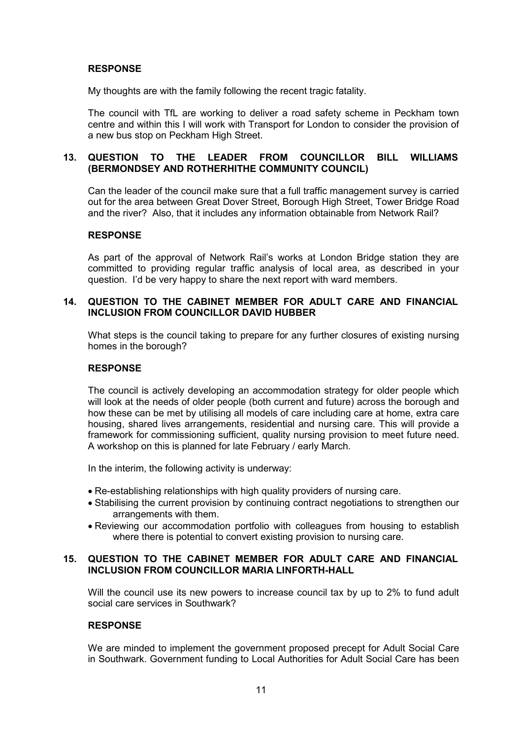My thoughts are with the family following the recent tragic fatality.

The council with TfL are working to deliver a road safety scheme in Peckham town centre and within this I will work with Transport for London to consider the provision of a new bus stop on Peckham High Street.

# **13. QUESTION TO THE LEADER FROM COUNCILLOR BILL WILLIAMS (BERMONDSEY AND ROTHERHITHE COMMUNITY COUNCIL)**

Can the leader of the council make sure that a full traffic management survey is carried out for the area between Great Dover Street, Borough High Street, Tower Bridge Road and the river? Also, that it includes any information obtainable from Network Rail?

#### **RESPONSE**

As part of the approval of Network Rail's works at London Bridge station they are committed to providing regular traffic analysis of local area, as described in your question. I'd be very happy to share the next report with ward members.

# **14. QUESTION TO THE CABINET MEMBER FOR ADULT CARE AND FINANCIAL INCLUSION FROM COUNCILLOR DAVID HUBBER**

What steps is the council taking to prepare for any further closures of existing nursing homes in the borough?

#### **RESPONSE**

The council is actively developing an accommodation strategy for older people which will look at the needs of older people (both current and future) across the borough and how these can be met by utilising all models of care including care at home, extra care housing, shared lives arrangements, residential and nursing care. This will provide a framework for commissioning sufficient, quality nursing provision to meet future need. A workshop on this is planned for late February / early March.

In the interim, the following activity is underway:

- Re-establishing relationships with high quality providers of nursing care.
- Stabilising the current provision by continuing contract negotiations to strengthen our arrangements with them.
- Reviewing our accommodation portfolio with colleagues from housing to establish where there is potential to convert existing provision to nursing care.

### **15. QUESTION TO THE CABINET MEMBER FOR ADULT CARE AND FINANCIAL INCLUSION FROM COUNCILLOR MARIA LINFORTH-HALL**

Will the council use its new powers to increase council tax by up to 2% to fund adult social care services in Southwark?

#### **RESPONSE**

We are minded to implement the government proposed precept for Adult Social Care in Southwark. Government funding to Local Authorities for Adult Social Care has been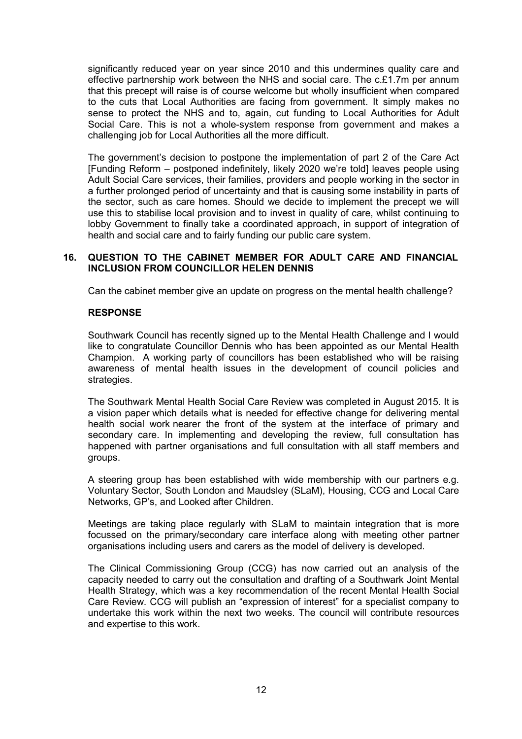significantly reduced year on year since 2010 and this undermines quality care and effective partnership work between the NHS and social care. The c.£1.7m per annum that this precept will raise is of course welcome but wholly insufficient when compared to the cuts that Local Authorities are facing from government. It simply makes no sense to protect the NHS and to, again, cut funding to Local Authorities for Adult Social Care. This is not a whole-system response from government and makes a challenging job for Local Authorities all the more difficult.

The government's decision to postpone the implementation of part 2 of the Care Act [Funding Reform – postponed indefinitely, likely 2020 we're told] leaves people using Adult Social Care services, their families, providers and people working in the sector in a further prolonged period of uncertainty and that is causing some instability in parts of the sector, such as care homes. Should we decide to implement the precept we will use this to stabilise local provision and to invest in quality of care, whilst continuing to lobby Government to finally take a coordinated approach, in support of integration of health and social care and to fairly funding our public care system.

# **16. QUESTION TO THE CABINET MEMBER FOR ADULT CARE AND FINANCIAL INCLUSION FROM COUNCILLOR HELEN DENNIS**

Can the cabinet member give an update on progress on the mental health challenge?

### **RESPONSE**

Southwark Council has recently signed up to the Mental Health Challenge and I would like to congratulate Councillor Dennis who has been appointed as our Mental Health Champion. A working party of councillors has been established who will be raising awareness of mental health issues in the development of council policies and strategies.

The Southwark Mental Health Social Care Review was completed in August 2015. It is a vision paper which details what is needed for effective change for delivering mental health social work nearer the front of the system at the interface of primary and secondary care. In implementing and developing the review, full consultation has happened with partner organisations and full consultation with all staff members and groups.

A steering group has been established with wide membership with our partners e.g. Voluntary Sector, South London and Maudsley (SLaM), Housing, CCG and Local Care Networks, GP's, and Looked after Children.

Meetings are taking place regularly with SLaM to maintain integration that is more focussed on the primary/secondary care interface along with meeting other partner organisations including users and carers as the model of delivery is developed.

The Clinical Commissioning Group (CCG) has now carried out an analysis of the capacity needed to carry out the consultation and drafting of a Southwark Joint Mental Health Strategy, which was a key recommendation of the recent Mental Health Social Care Review. CCG will publish an "expression of interest" for a specialist company to undertake this work within the next two weeks. The council will contribute resources and expertise to this work.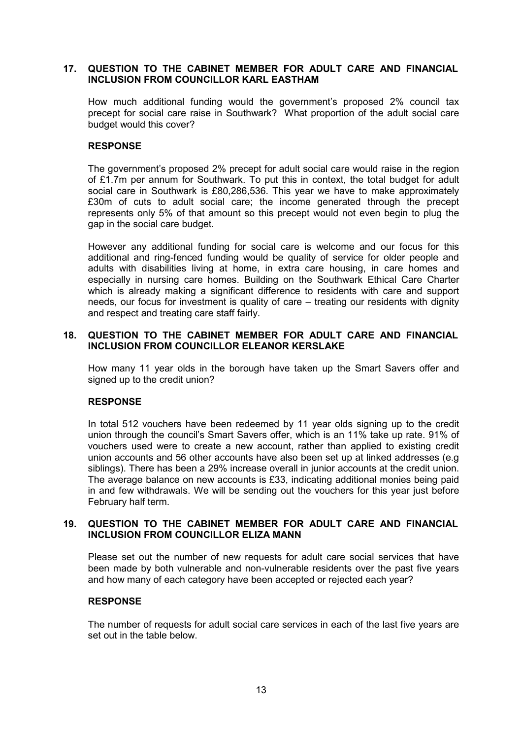# **17. QUESTION TO THE CABINET MEMBER FOR ADULT CARE AND FINANCIAL INCLUSION FROM COUNCILLOR KARL EASTHAM**

How much additional funding would the government's proposed 2% council tax precept for social care raise in Southwark? What proportion of the adult social care budget would this cover?

# **RESPONSE**

The government's proposed 2% precept for adult social care would raise in the region of £1.7m per annum for Southwark. To put this in context, the total budget for adult social care in Southwark is £80,286,536. This year we have to make approximately £30m of cuts to adult social care; the income generated through the precept represents only 5% of that amount so this precept would not even begin to plug the gap in the social care budget.

However any additional funding for social care is welcome and our focus for this additional and ring-fenced funding would be quality of service for older people and adults with disabilities living at home, in extra care housing, in care homes and especially in nursing care homes. Building on the Southwark Ethical Care Charter which is already making a significant difference to residents with care and support needs, our focus for investment is quality of care – treating our residents with dignity and respect and treating care staff fairly.

### **18. QUESTION TO THE CABINET MEMBER FOR ADULT CARE AND FINANCIAL INCLUSION FROM COUNCILLOR ELEANOR KERSLAKE**

How many 11 year olds in the borough have taken up the Smart Savers offer and signed up to the credit union?

#### **RESPONSE**

In total 512 vouchers have been redeemed by 11 year olds signing up to the credit union through the council's Smart Savers offer, which is an 11% take up rate. 91% of vouchers used were to create a new account, rather than applied to existing credit union accounts and 56 other accounts have also been set up at linked addresses (e.g siblings). There has been a 29% increase overall in junior accounts at the credit union. The average balance on new accounts is £33, indicating additional monies being paid in and few withdrawals. We will be sending out the vouchers for this year just before February half term.

### **19. QUESTION TO THE CABINET MEMBER FOR ADULT CARE AND FINANCIAL INCLUSION FROM COUNCILLOR ELIZA MANN**

Please set out the number of new requests for adult care social services that have been made by both vulnerable and non-vulnerable residents over the past five years and how many of each category have been accepted or rejected each year?

#### **RESPONSE**

The number of requests for adult social care services in each of the last five years are set out in the table below.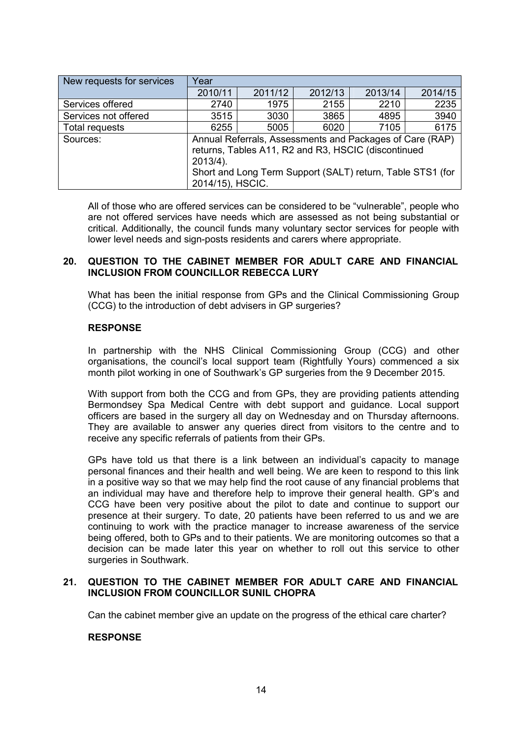| Year                                                                                                                           |         |                  |         |                                                            |  |  |  |  |
|--------------------------------------------------------------------------------------------------------------------------------|---------|------------------|---------|------------------------------------------------------------|--|--|--|--|
| 2010/11                                                                                                                        | 2011/12 | 2012/13          | 2013/14 | 2014/15                                                    |  |  |  |  |
| 2740                                                                                                                           | 1975    | 2155             | 2210    | 2235                                                       |  |  |  |  |
| 3515                                                                                                                           | 3030    | 3865             | 4895    | 3940                                                       |  |  |  |  |
| 6255                                                                                                                           | 5005    | 6020             | 7105    | 6175                                                       |  |  |  |  |
| Annual Referrals, Assessments and Packages of Care (RAP)<br>returns, Tables A11, R2 and R3, HSCIC (discontinued<br>$2013/4$ ). |         |                  |         |                                                            |  |  |  |  |
|                                                                                                                                |         |                  |         |                                                            |  |  |  |  |
|                                                                                                                                |         | 2014/15), HSCIC. |         | Short and Long Term Support (SALT) return, Table STS1 (for |  |  |  |  |

All of those who are offered services can be considered to be "vulnerable", people who are not offered services have needs which are assessed as not being substantial or critical. Additionally, the council funds many voluntary sector services for people with lower level needs and sign-posts residents and carers where appropriate.

#### **20. QUESTION TO THE CABINET MEMBER FOR ADULT CARE AND FINANCIAL INCLUSION FROM COUNCILLOR REBECCA LURY**

What has been the initial response from GPs and the Clinical Commissioning Group (CCG) to the introduction of debt advisers in GP surgeries?

### **RESPONSE**

In partnership with the NHS Clinical Commissioning Group (CCG) and other organisations, the council's local support team (Rightfully Yours) commenced a six month pilot working in one of Southwark's GP surgeries from the 9 December 2015.

With support from both the CCG and from GPs, they are providing patients attending Bermondsey Spa Medical Centre with debt support and guidance. Local support officers are based in the surgery all day on Wednesday and on Thursday afternoons. They are available to answer any queries direct from visitors to the centre and to receive any specific referrals of patients from their GPs.

GPs have told us that there is a link between an individual's capacity to manage personal finances and their health and well being. We are keen to respond to this link in a positive way so that we may help find the root cause of any financial problems that an individual may have and therefore help to improve their general health. GP's and CCG have been very positive about the pilot to date and continue to support our presence at their surgery. To date, 20 patients have been referred to us and we are continuing to work with the practice manager to increase awareness of the service being offered, both to GPs and to their patients. We are monitoring outcomes so that a decision can be made later this year on whether to roll out this service to other surgeries in Southwark.

## **21. QUESTION TO THE CABINET MEMBER FOR ADULT CARE AND FINANCIAL INCLUSION FROM COUNCILLOR SUNIL CHOPRA**

Can the cabinet member give an update on the progress of the ethical care charter?

# **RESPONSE**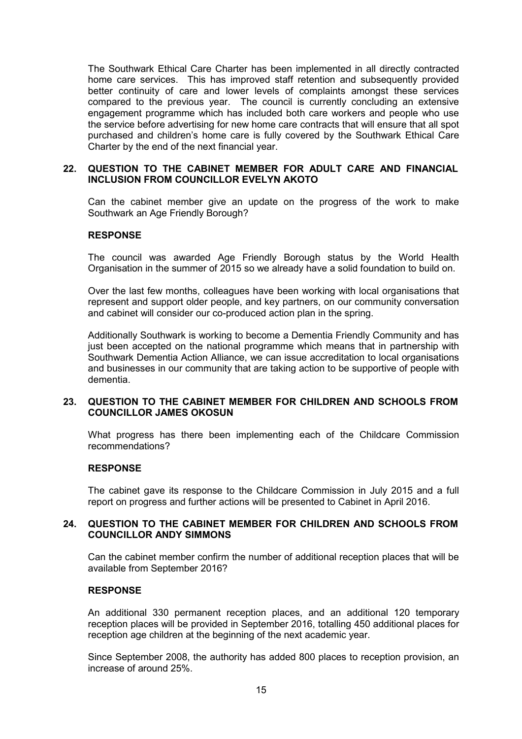The Southwark Ethical Care Charter has been implemented in all directly contracted home care services. This has improved staff retention and subsequently provided better continuity of care and lower levels of complaints amongst these services compared to the previous year. The council is currently concluding an extensive engagement programme which has included both care workers and people who use the service before advertising for new home care contracts that will ensure that all spot purchased and children's home care is fully covered by the Southwark Ethical Care Charter by the end of the next financial year.

## **22. QUESTION TO THE CABINET MEMBER FOR ADULT CARE AND FINANCIAL INCLUSION FROM COUNCILLOR EVELYN AKOTO**

Can the cabinet member give an update on the progress of the work to make Southwark an Age Friendly Borough?

### **RESPONSE**

The council was awarded Age Friendly Borough status by the World Health Organisation in the summer of 2015 so we already have a solid foundation to build on.

Over the last few months, colleagues have been working with local organisations that represent and support older people, and key partners, on our community conversation and cabinet will consider our co-produced action plan in the spring.

Additionally Southwark is working to become a Dementia Friendly Community and has just been accepted on the national programme which means that in partnership with Southwark Dementia Action Alliance, we can issue accreditation to local organisations and businesses in our community that are taking action to be supportive of people with dementia.

### **23. QUESTION TO THE CABINET MEMBER FOR CHILDREN AND SCHOOLS FROM COUNCILLOR JAMES OKOSUN**

What progress has there been implementing each of the Childcare Commission recommendations?

#### **RESPONSE**

The cabinet gave its response to the Childcare Commission in July 2015 and a full report on progress and further actions will be presented to Cabinet in April 2016.

## **24. QUESTION TO THE CABINET MEMBER FOR CHILDREN AND SCHOOLS FROM COUNCILLOR ANDY SIMMONS**

Can the cabinet member confirm the number of additional reception places that will be available from September 2016?

#### **RESPONSE**

An additional 330 permanent reception places, and an additional 120 temporary reception places will be provided in September 2016, totalling 450 additional places for reception age children at the beginning of the next academic year.

Since September 2008, the authority has added 800 places to reception provision, an increase of around 25%.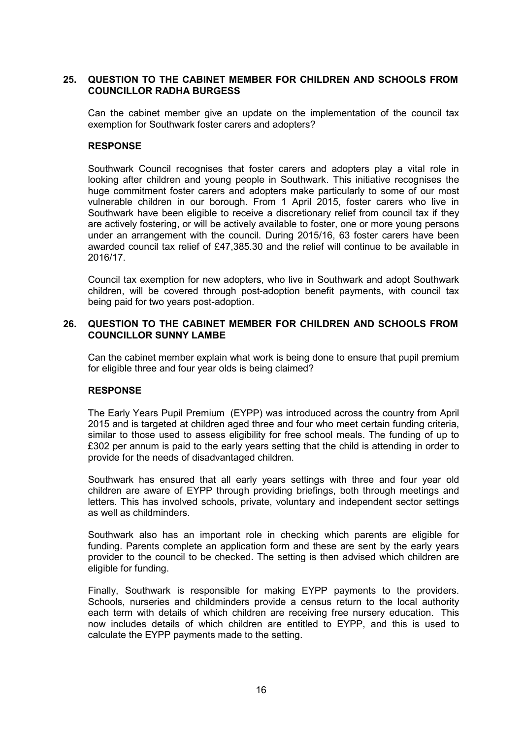# **25. QUESTION TO THE CABINET MEMBER FOR CHILDREN AND SCHOOLS FROM COUNCILLOR RADHA BURGESS**

Can the cabinet member give an update on the implementation of the council tax exemption for Southwark foster carers and adopters?

### **RESPONSE**

Southwark Council recognises that foster carers and adopters play a vital role in looking after children and young people in Southwark. This initiative recognises the huge commitment foster carers and adopters make particularly to some of our most vulnerable children in our borough. From 1 April 2015, foster carers who live in Southwark have been eligible to receive a discretionary relief from council tax if they are actively fostering, or will be actively available to foster, one or more young persons under an arrangement with the council. During 2015/16, 63 foster carers have been awarded council tax relief of £47,385.30 and the relief will continue to be available in 2016/17.

Council tax exemption for new adopters, who live in Southwark and adopt Southwark children, will be covered through post-adoption benefit payments, with council tax being paid for two years post-adoption.

### **26. QUESTION TO THE CABINET MEMBER FOR CHILDREN AND SCHOOLS FROM COUNCILLOR SUNNY LAMBE**

Can the cabinet member explain what work is being done to ensure that pupil premium for eligible three and four year olds is being claimed?

# **RESPONSE**

The Early Years Pupil Premium (EYPP) was introduced across the country from April 2015 and is targeted at children aged three and four who meet certain funding criteria, similar to those used to assess eligibility for free school meals. The funding of up to £302 per annum is paid to the early years setting that the child is attending in order to provide for the needs of disadvantaged children.

Southwark has ensured that all early years settings with three and four year old children are aware of EYPP through providing briefings, both through meetings and letters. This has involved schools, private, voluntary and independent sector settings as well as childminders.

Southwark also has an important role in checking which parents are eligible for funding. Parents complete an application form and these are sent by the early years provider to the council to be checked. The setting is then advised which children are eligible for funding.

Finally, Southwark is responsible for making EYPP payments to the providers. Schools, nurseries and childminders provide a census return to the local authority each term with details of which children are receiving free nursery education. This now includes details of which children are entitled to EYPP, and this is used to calculate the EYPP payments made to the setting.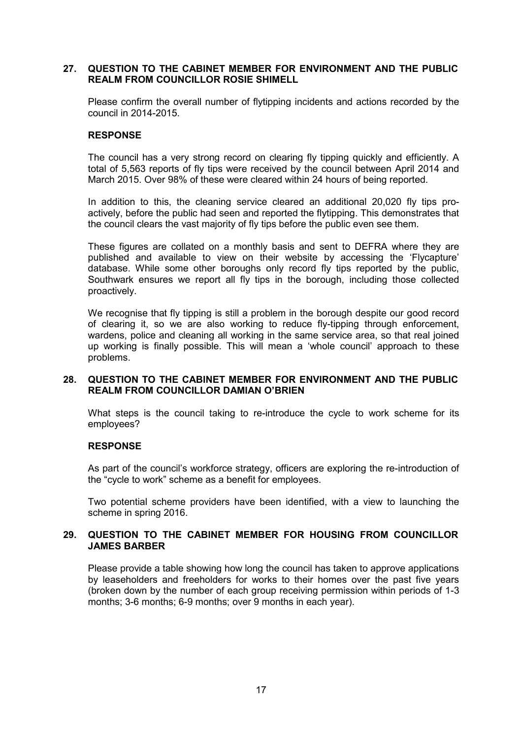### **27. QUESTION TO THE CABINET MEMBER FOR ENVIRONMENT AND THE PUBLIC REALM FROM COUNCILLOR ROSIE SHIMELL**

Please confirm the overall number of flytipping incidents and actions recorded by the council in 2014-2015.

#### **RESPONSE**

The council has a very strong record on clearing fly tipping quickly and efficiently. A total of 5,563 reports of fly tips were received by the council between April 2014 and March 2015. Over 98% of these were cleared within 24 hours of being reported.

In addition to this, the cleaning service cleared an additional 20,020 fly tips proactively, before the public had seen and reported the flytipping. This demonstrates that the council clears the vast majority of fly tips before the public even see them.

These figures are collated on a monthly basis and sent to DEFRA where they are published and available to view on their website by accessing the 'Flycapture' database. While some other boroughs only record fly tips reported by the public, Southwark ensures we report all fly tips in the borough, including those collected proactively.

We recognise that fly tipping is still a problem in the borough despite our good record of clearing it, so we are also working to reduce fly-tipping through enforcement, wardens, police and cleaning all working in the same service area, so that real joined up working is finally possible. This will mean a 'whole council' approach to these problems.

### **28. QUESTION TO THE CABINET MEMBER FOR ENVIRONMENT AND THE PUBLIC REALM FROM COUNCILLOR DAMIAN O'BRIEN**

What steps is the council taking to re-introduce the cycle to work scheme for its employees?

#### **RESPONSE**

As part of the council's workforce strategy, officers are exploring the re-introduction of the "cycle to work" scheme as a benefit for employees.

Two potential scheme providers have been identified, with a view to launching the scheme in spring 2016.

### **29. QUESTION TO THE CABINET MEMBER FOR HOUSING FROM COUNCILLOR JAMES BARBER**

Please provide a table showing how long the council has taken to approve applications by leaseholders and freeholders for works to their homes over the past five years (broken down by the number of each group receiving permission within periods of 1-3 months; 3-6 months; 6-9 months; over 9 months in each year).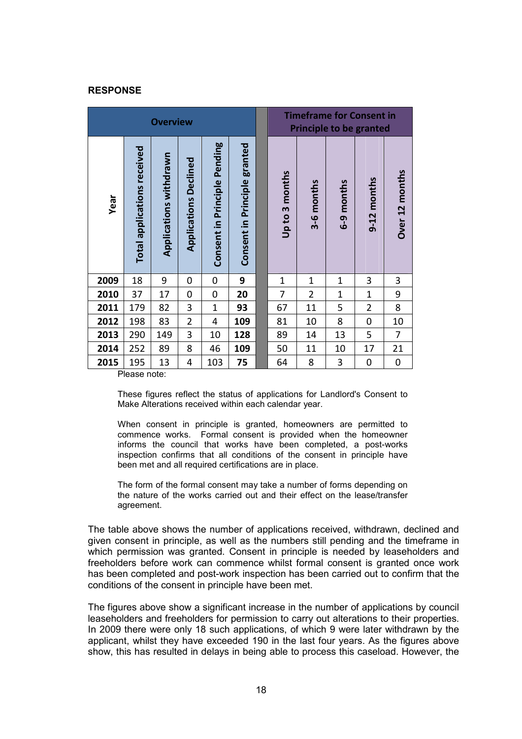|      |                                    | <b>Overview</b>        |                              |                              | <b>Timeframe for Consent in</b><br><b>Principle to be granted</b> |                                 |                |                    |                    |                |
|------|------------------------------------|------------------------|------------------------------|------------------------------|-------------------------------------------------------------------|---------------------------------|----------------|--------------------|--------------------|----------------|
| Year | <b>Total applications received</b> | Applications withdrawn | <b>Applications Declined</b> | Consent in Principle Pending | Consent in Principle granted                                      | months<br>$\mathsf{m}$<br>Up to | 3-6 months     | months<br><b>ტ</b> | months<br>$9 - 12$ | Over 12 months |
| 2009 | 18                                 | 9                      | 0                            | 0                            | 9                                                                 | $\mathbf{1}$                    | $\mathbf{1}$   | $\mathbf 1$        | 3                  | 3              |
| 2010 | 37                                 | 17                     | 0                            | 0                            | 20                                                                | 7                               | $\overline{2}$ | $\mathbf{1}$       | $\mathbf{1}$       | 9              |
| 2011 | 179                                | 82                     | 3                            | $\overline{1}$               | 93                                                                | 67                              | 11             | 5                  | $\overline{2}$     | 8              |
| 2012 | 198                                | 83                     | $\overline{2}$               | 4                            | 109                                                               | 81                              | 10             | 8                  | 0                  | 10             |
| 2013 | 290                                | 149                    | 3                            | 10                           | 128                                                               | 89                              | 14             | 13                 | 5                  | 7              |
| 2014 | 252                                | 89                     | 8                            | 46                           | 109                                                               | 50                              | 11             | 10                 | 17                 | 21             |
| 2015 | 195                                | 13                     | 4                            | 103                          | 75                                                                | 64                              | 8              | 3                  | $\mathbf 0$        | 0              |

Please note:

These figures reflect the status of applications for Landlord's Consent to Make Alterations received within each calendar year.

When consent in principle is granted, homeowners are permitted to commence works. Formal consent is provided when the homeowner informs the council that works have been completed, a post-works inspection confirms that all conditions of the consent in principle have been met and all required certifications are in place.

The form of the formal consent may take a number of forms depending on the nature of the works carried out and their effect on the lease/transfer agreement.

The table above shows the number of applications received, withdrawn, declined and given consent in principle, as well as the numbers still pending and the timeframe in which permission was granted. Consent in principle is needed by leaseholders and freeholders before work can commence whilst formal consent is granted once work has been completed and post-work inspection has been carried out to confirm that the conditions of the consent in principle have been met.

The figures above show a significant increase in the number of applications by council leaseholders and freeholders for permission to carry out alterations to their properties. In 2009 there were only 18 such applications, of which 9 were later withdrawn by the applicant, whilst they have exceeded 190 in the last four years. As the figures above show, this has resulted in delays in being able to process this caseload. However, the